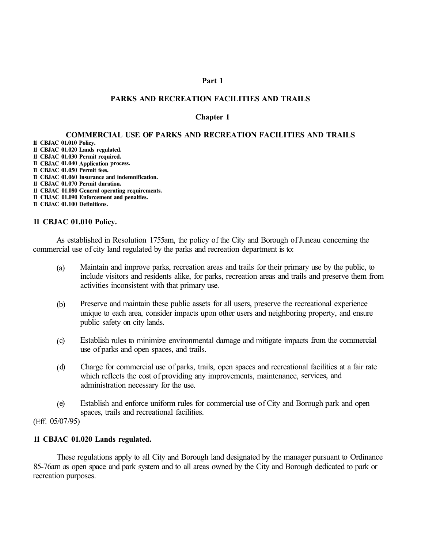### **Part 1**

## **PARKS AND RECREATION FACILITIES AND TRAILS**

### **Chapter 1**

# **COMMERCIAL USE OF PARKS AND RECREATION FACILITIES AND TRAILS**

**11 CBJAC 01.010 Policy.** 

- **11 CBJAC 01.020 Lands regulated.**
- **11 CBJAC 01.030 Permit required.**
- **11 CBJAC 01.040 Application process.**
- **11 CBJAC 01.050 Permit fees.**
- **11 CBJAC 01.060 Insurance and indemnification.**
- **11 CBJAC 01.070 Permit duration.**
- **11 CBJAC 01.080 General operating requirements.**
- **11 CBJAC 01.090 Enforcement and penalties.**
- **11 CBJAC 01.100 Definitions.**

#### **11 CBJAC 01.010 Policy.**

As established in Resolution 1755am, the policy of the City and Borough of Juneau concerning the commercial use of city land regulated by the parks and recreation department is to:

- (a) Maintain and improve parks, recreation areas and trails for their primary use by the public, to include visitors and residents alike, for parks, recreation areas and trails and preserve them from activities inconsistent with that primary use.
- (b) Preserve and maintain these public assets for all users, preserve the recreational experience unique to each area, consider impacts upon other users and neighboring property, and ensure public safety on city lands.
- ( c) Establish rules to minimize environmental damage and mitigate impacts from the commercial use of parks and open spaces, and trails.
- ( d) Charge for commercial use of parks, trails, open spaces and recreational facilities at a fair rate which reflects the cost of providing any improvements, maintenance, services, and administration necessary for the use.
- ( e) Establish and enforce uniform rules for commercial use of City and Borough park and open spaces, trails and recreational facilities.

(Eff. 05/07 /95)

#### **11 CBJAC 01.020 Lands regulated.**

These regulations apply to all City and Borough land designated by the manager pursuant to Ordinance 85-76am as open space and park system and to all areas owned by the City and Borough dedicated to park or recreation purposes.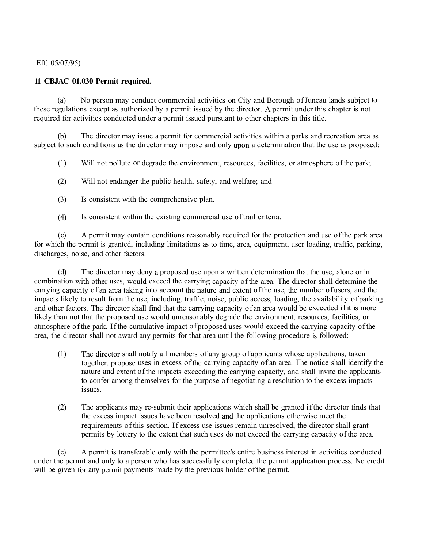Eff. 05/07 /95)

# **11 CBJAC 01.030 Permit required.**

(a) No person may conduct commercial activities on City and Borough of Juneau lands subject to these regulations except as authorized by a permit issued by the director. A permit under this chapter is not required for activities conducted under a permit issued pursuant to other chapters in this title.

(b) The director may issue a permit for commercial activities within a parks and recreation area as subject to such conditions as the director may impose and only upon a determination that the use as proposed:

(1) Will not pollute or degrade the environment, resources, facilities, or atmosphere of the park;

(2) Will not endanger the public health, safety, and welfare; and

- (3) Is consistent with the comprehensive plan.
- ( 4) Is consistent within the existing commercial use of trail criteria.

( c) A permit may contain conditions reasonably required for the protection and use of the park area for which the permit is granted, including limitations as to time, area, equipment, user loading, traffic, parking, discharges, noise, and other factors.

( d) The director may deny a proposed use upon a written determination that the use, alone or in combination with other uses, would exceed the carrying capacity of the area. The director shall determine the carrying capacity of an area taking into account the nature and extent of the use, the number of users, and the impacts likely to result from the use, including, traffic, noise, public access, loading, the availability of parking and other factors. The director shall find that the carrying capacity of an area would be exceeded if it is more likely than not that the proposed use would unreasonably degrade the environment, resources, facilities, or atmosphere of the park. If the cumulative impact of proposed uses would exceed the carrying capacity of the area, the director shall not award any permits for that area until the following procedure is followed:

- (1) The director shall notify all members of any group of applicants whose applications, taken together, propose uses in excess of the carrying capacity of an area. The notice shall identify the nature and extent of the impacts exceeding the carrying capacity, and shall invite the applicants to confer among themselves for the purpose of negotiating a resolution to the excess impacts issues.
- (2) The applicants may re-submit their applications which shall be granted if the director finds that the excess impact issues have been resolved and the applications otherwise meet the requirements of this section. If excess use issues remain unresolved, the director shall grant permits by lottery to the extent that such uses do not exceed the carrying capacity of the area.

( e) A permit is transferable only with the permittee's entire business interest in activities conducted under the permit and only to a person who has successfully completed the permit application process. No credit will be given for any permit payments made by the previous holder of the permit.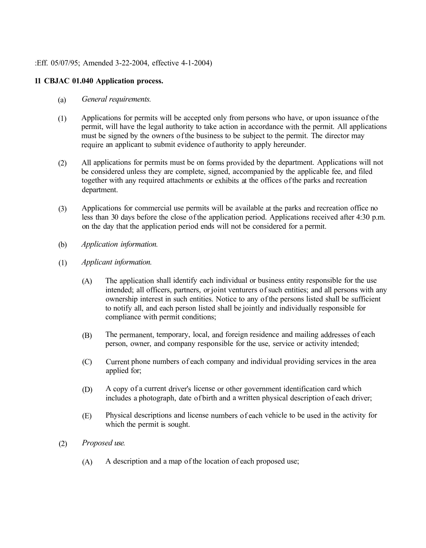:Eff. 05/07/95; Amended 3-22-2004, effective 4-1-2004)

# **11 CBJAC 01.040 Application process.**

- (a) *General requirements.*
- (1) Applications for permits will be accepted only from persons who have, or upon issuance of the permit, will have the legal authority to take action in accordance with the permit. All applications must be signed by the owners of the business to be subject to the permit. The director may require an applicant to submit evidence of authority to apply hereunder.
- (2) All applications for permits must be on forms provided by the department. Applications will not be considered unless they are complete, signed, accompanied by the applicable fee, and filed together with any required attachments or exhibits at the offices of the parks and recreation department.
- (3) Applications for commercial use permits will be available at the parks and recreation office no less than 30 days before the close of the application period. Applications received after 4:30 p.m. on the day that the application period ends will not be considered for a permit.
- (b) *Application information.*
- (1) *Applicant information.*
	- (A) The application shall identify each individual or business entity responsible for the use intended; all officers, partners, or joint venturers of such entities; and all persons with any ownership interest in such entities. Notice to any of the persons listed shall be sufficient to notify all, and each person listed shall be jointly and individually responsible for compliance with permit conditions;
	- (B) The permanent, temporary, local, and foreign residence and mailing addresses of each person, owner, and company responsible for the use, service or activity intended;
	- (C) Current phone numbers of each company and individual providing services in the area applied for;
	- (D) A copy of a current driver's license or other government identification card which includes a photograph, date of birth and a written physical description of each driver;
	- (E) Physical descriptions and license numbers of each vehicle to be used in the activity for which the permit is sought.
- (2) *Proposed use.* 
	- (A) A description and a map of the location of each proposed use;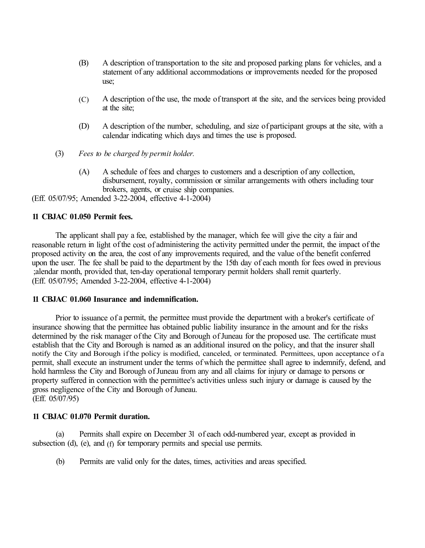- (B) A description of transportation to the site and proposed parking plans for vehicles, and a statement of any additional accommodations or improvements needed for the proposed use;
- (C) A description of the use, the mode of transport at the site, and the services being provided at the site;
- (D) A description of the number, scheduling, and size of participant groups at the site, with a calendar indicating which days and times the use is proposed.
- (3) *Fees to be charged by permit holder.*
	- (A) A schedule of fees and charges to customers and a description of any collection, disbursement, royalty, commission or similar arrangements with others including tour brokers, agents, or cruise ship companies.

(Eff. 05/07/95; Amended 3-22-2004, effective 4-1-2004)

# **11 CBJAC 01.050 Permit fees.**

The applicant shall pay a fee, established by the manager, which fee will give the city a fair and reasonable return in light of the cost of administering the activity permitted under the permit, the impact of the proposed activity on the area, the cost of any improvements required, and the value of the benefit conferred upon the user. The fee shall be paid to the department by the 15th day of each month for fees owed in previous ;alendar month, provided that, ten-day operational temporary permit holders shall remit quarterly. (Eff. 05/07/95; Amended 3-22-2004, effective 4-1-2004)

## **11 CBJAC 01.060 Insurance and indemnification.**

Prior to issuance of a permit, the permittee must provide the department with a broker's certificate of insurance showing that the permittee has obtained public liability insurance in the amount and for the risks determined by the risk manager of the City and Borough of Juneau for the proposed use. The certificate must establish that the City and Borough is named as an additional insured on the policy, and that the insurer shall notify the City and Borough if the policy is modified, canceled, or terminated. Permittees, upon acceptance of a permit, shall execute an instrument under the terms of which the permittee shall agree to indemnify, defend, and hold harmless the City and Borough of Juneau from any and all claims for injury or damage to persons or property suffered in connection with the permittee's activities unless such injury or damage is caused by the gross negligence of the City and Borough of Juneau. (Eff. 05/07 /95)

# **11 CBJAC 01.070 Permit duration.**

(a) Permits shall expire on December 31 of each odd-numbered year, except as provided in subsection (d), (e), and (f) for temporary permits and special use permits.

(b) Permits are valid only for the dates, times, activities and areas specified.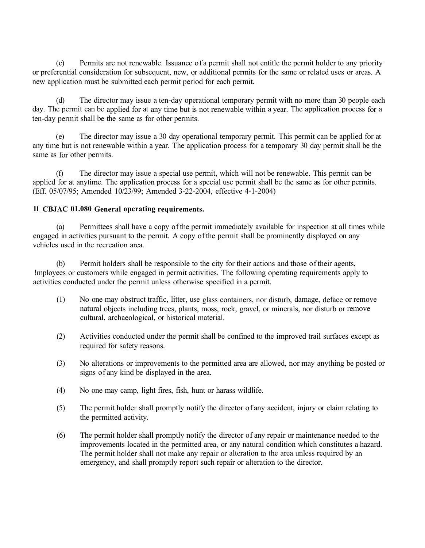( c) Permits are not renewable. Issuance of a permit shall not entitle the permit holder to any priority or preferential consideration for subsequent, new, or additional permits for the same or related uses or areas. A new application must be submitted each permit period for each permit.

( d) The director may issue a ten-day operational temporary permit with no more than 30 people each day. The permit can be applied for at any time but is not renewable within a year. The application process for a ten-day permit shall be the same as for other permits.

( e) The director may issue a 30 day operational temporary permit. This permit can be applied for at any time but is not renewable within a year. The application process for a temporary 30 day permit shall be the same as for other permits.

(f) The director may issue a special use permit, which will not be renewable. This permit can be applied for at anytime. The application process for a special use permit shall be the same as for other permits. (Eff. 05/07/95; Amended 10/23/99; Amended 3-22-2004, effective 4-1-2004)

# **11 CBJAC 01.080 General operating requirements.**

(a) Permittees shall have a copy of the permit immediately available for inspection at all times while engaged in activities pursuant to the permit. A copy of the permit shall be prominently displayed on any vehicles used in the recreation area.

(b) Permit holders shall be responsible to the city for their actions and those of their agents, !mployees or customers while engaged in permit activities. The following operating requirements apply to activities conducted under the permit unless otherwise specified in a permit.

- (1) No one may obstruct traffic, litter, use glass containers, nor disturb, damage, deface or remove natural objects including trees, plants, moss, rock, gravel, or minerals, nor disturb or remove cultural, archaeological, or historical material.
- (2) Activities conducted under the permit shall be confined to the improved trail surfaces except as required for safety reasons.
- (3) No alterations or improvements to the permitted area are allowed, nor may anything be posted or signs of any kind be displayed in the area.
- (4) No one may camp, light fires, fish, hunt or harass wildlife.
- (5) The permit holder shall promptly notify the director of any accident, injury or claim relating to the permitted activity.
- (6) The permit holder shall promptly notify the director of any repair or maintenance needed to the improvements located in the permitted area, or any natural condition which constitutes a hazard. The permit holder shall not make any repair or alteration to the area unless required by an emergency, and shall promptly report such repair or alteration to the director.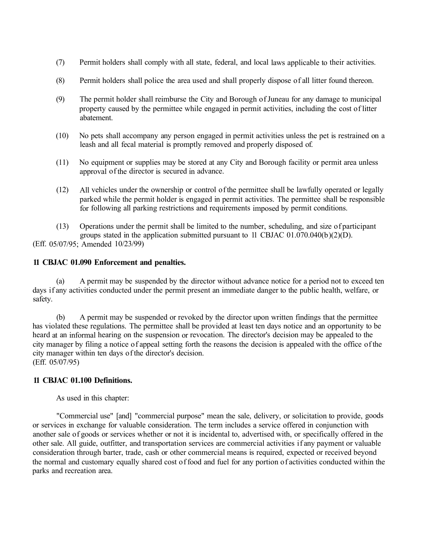- (7) Permit holders shall comply with all state, federal, and local laws applicable to their activities.
- (8) Permit holders shall police the area used and shall properly dispose of all litter found thereon.
- (9) The permit holder shall reimburse the City and Borough of Juneau for any damage to municipal property caused by the permittee while engaged in permit activities, including the cost of litter abatement.
- (10) No pets shall accompany any person engaged in permit activities unless the pet is restrained on a leash and all fecal material is promptly removed and properly disposed of.
- (11) No equipment or supplies may be stored at any City and Borough facility or permit area unless approval of the director is secured in advance.
- (12) All vehicles under the ownership or control of the permittee shall be lawfully operated or legally parked while the permit holder is engaged in permit activities. The permittee shall be responsible for following all parking restrictions and requirements imposed by permit conditions.
- (13) Operations under the permit shall be limited to the number, scheduling, and size of participant groups stated in the application submitted pursuant to 11 CBJAC 01.070.040(b )(2)(D). (Eff. 05/07/95; Amended 10/23/99)

# **11 CBJAC 01.090 Enforcement and penalties.**

(a) A permit may be suspended by the director without advance notice for a period not to exceed ten days if any activities conducted under the permit present an immediate danger to the public health, welfare, or safety.

(b) A permit may be suspended or revoked by the director upon written findings that the permittee has violated these regulations. The permittee shall be provided at least ten days notice and an opportunity to be heard at an informal hearing on the suspension or revocation. The director's decision may be appealed to the city manager by filing a notice of appeal setting forth the reasons the decision is appealed with the office of the city manager within ten days of the director's decision. (Eff. 05/07 /95)

## **11 CBJAC 01.100 Definitions.**

As used in this chapter:

"Commercial use" [and] "commercial purpose" mean the sale, delivery, or solicitation to provide, goods or services in exchange for valuable consideration. The term includes a service offered in conjunction with another sale of goods or services whether or not it is incidental to, advertised with, or specifically offered in the other sale. All guide, outfitter, and transportation services are commercial activities if any payment or valuable consideration through barter, trade, cash or other commercial means is required, expected or received beyond the normal and customary equally shared cost of food and fuel for any portion of activities conducted within the parks and recreation area.